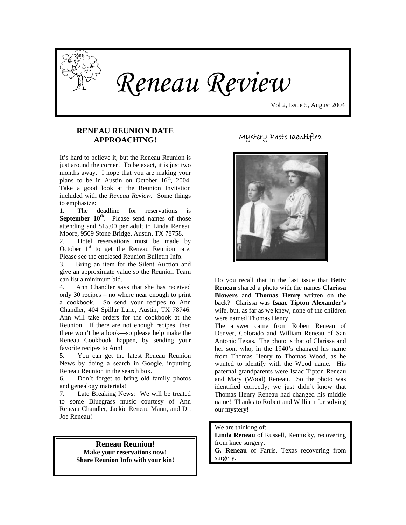

*Reneau Review* 

Vol 2, Issue 5, August 2004

# **RENEAU REUNION DATE APPROACHING!**

It's hard to believe it, but the Reneau Reunion is just around the corner! To be exact, it is just two months away. I hope that you are making your plans to be in Austin on October  $16^{th}$ , 2004. Take a good look at the Reunion Invitation included with the *Reneau Review*. Some things to emphasize:

1. The deadline for reservations is **September 10<sup>th</sup>**. Please send names of those attending and \$15.00 per adult to Linda Reneau Moore, 9509 Stone Bridge, Austin, TX 78758.

2. Hotel reservations must be made by October  $1<sup>st</sup>$  to get the Reneau Reunion rate. Please see the enclosed Reunion Bulletin Info.

3. Bring an item for the Silent Auction and give an approximate value so the Reunion Team can list a minimum bid.

4. Ann Chandler says that she has received only 30 recipes – no where near enough to print a cookbook. So send your recipes to Ann Chandler, 404 Spillar Lane, Austin, TX 78746. Ann will take orders for the cookbook at the Reunion. If there are not enough recipes, then there won't be a book—so please help make the Reneau Cookbook happen, by sending your favorite recipes to Ann!

5. You can get the latest Reneau Reunion News by doing a search in Google, inputting Reneau Reunion in the search box.

6. Don't forget to bring old family photos and genealogy materials!

7. Late Breaking News: We will be treated to some Bluegrass music courtesy of Ann Reneau Chandler, Jackie Reneau Mann, and Dr. Joe Reneau!

### **Reneau Reunion! Make your reservations now! Share Reunion Info with your kin!**

# Mystery Photo Identified



Do you recall that in the last issue that **Betty Reneau** shared a photo with the names **Clarissa Blowers** and **Thomas Henry** written on the back? Clarissa was **Isaac Tipton Alexander's** wife, but, as far as we knew, none of the children were named Thomas Henry.

The answer came from Robert Reneau of Denver, Colorado and William Reneau of San Antonio Texas. The photo is that of Clarissa and her son, who, in the 1940's changed his name from Thomas Henry to Thomas Wood, as he wanted to identify with the Wood name. His paternal grandparents were Isaac Tipton Reneau and Mary (Wood) Reneau. So the photo was identified correctly; we just didn't know that Thomas Henry Reneau had changed his middle name! Thanks to Robert and William for solving our mystery!

#### We are thinking of:

**Linda Reneau** of Russell, Kentucky, recovering from knee surgery.

**G. Reneau** of Farris, Texas recovering from surgery.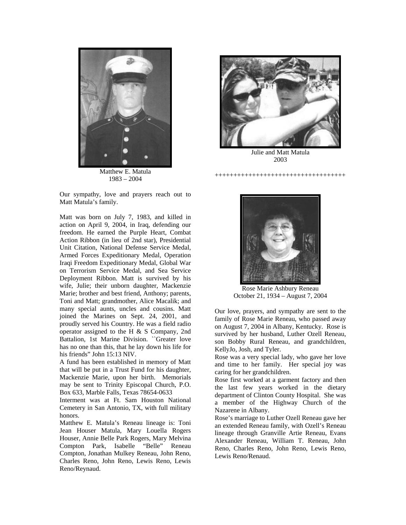

Matthew E. Matula 1983 – 2004



Julie and Matt Matula 2003

+++++++++++++++++++++++++++++++++++

Our sympathy, love and prayers reach out to Matt Matula's family.

Matt was born on July 7, 1983, and killed in action on April 9, 2004, in Iraq, defending our freedom. He earned the Purple Heart, Combat Action Ribbon (in lieu of 2nd star), Presidential Unit Citation, National Defense Service Medal, Armed Forces Expeditionary Medal, Operation Iraqi Freedom Expeditionary Medal, Global War on Terrorism Service Medal, and Sea Service Deployment Ribbon. Matt is survived by his wife, Julie; their unborn daughter, Mackenzie Marie; brother and best friend, Anthony; parents, Toni and Matt; grandmother, Alice Macalik; and many special aunts, uncles and cousins. Matt joined the Marines on Sept. 24, 2001, and proudly served his Country. He was a field radio operator assigned to the H & S Company, 2nd Battalion, 1st Marine Division. ``Greater love has no one than this, that he lay down his life for his friends" John 15:13 NIV.

A fund has been established in memory of Matt that will be put in a Trust Fund for his daughter, Mackenzie Marie, upon her birth. Memorials may be sent to Trinity Episcopal Church, P.O. Box 633, Marble Falls, Texas 78654-0633

Interment was at Ft. Sam Houston National Cemetery in San Antonio, TX, with full military honors.

Matthew E. Matula's Reneau lineage is: Toni Jean Houser Matula, Mary Louella Rogers Houser, Annie Belle Park Rogers, Mary Melvina Compton Park, Isabelle "Belle" Reneau Compton, Jonathan Mulkey Reneau, John Reno, Charles Reno, John Reno, Lewis Reno, Lewis Reno/Reynaud.



Rose Marie Ashbury Reneau October 21, 1934 – August 7, 2004

Our love, prayers, and sympathy are sent to the family of Rose Marie Reneau, who passed away on August 7, 2004 in Albany, Kentucky. Rose is survived by her husband, Luther Ozell Reneau, son Bobby Rural Reneau, and grandchildren, KellyJo, Josh, and Tyler.

Rose was a very special lady, who gave her love and time to her family. Her special joy was caring for her grandchildren.

Rose first worked at a garment factory and then the last few years worked in the dietary department of Clinton County Hospital. She was a member of the Highway Church of the Nazarene in Albany.

Rose's marriage to Luther Ozell Reneau gave her an extended Reneau family, with Ozell's Reneau lineage through Granville Artie Reneau, Evans Alexander Reneau, William T. Reneau, John Reno, Charles Reno, John Reno, Lewis Reno, Lewis Reno/Renaud.